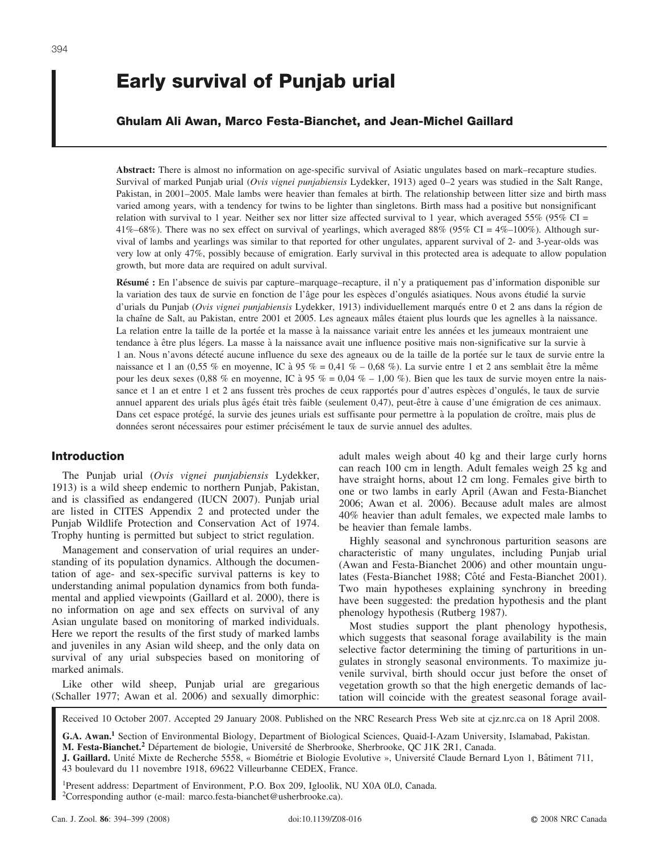# **Early survival of Punjab urial**

## **Ghulam Ali Awan, Marco Festa-Bianchet, and Jean-Michel Gaillard**

**Abstract:** There is almost no information on age-specific survival of Asiatic ungulates based on mark–recapture studies. Survival of marked Punjab urial (*Ovis vignei punjabiensis* Lydekker, 1913) aged 0–2 years was studied in the Salt Range, Pakistan, in 2001–2005. Male lambs were heavier than females at birth. The relationship between litter size and birth mass varied among years, with a tendency for twins to be lighter than singletons. Birth mass had a positive but nonsignificant relation with survival to 1 year. Neither sex nor litter size affected survival to 1 year, which averaged 55% (95% CI = 41%–68%). There was no sex effect on survival of yearlings, which averaged 88% (95% CI = 4%–100%). Although survival of lambs and yearlings was similar to that reported for other ungulates, apparent survival of 2- and 3-year-olds was very low at only 47%, possibly because of emigration. Early survival in this protected area is adequate to allow population growth, but more data are required on adult survival.

**Résumé :** En l'absence de suivis par capture–marquage–recapture, il n'y a pratiquement pas d'information disponible sur la variation des taux de survie en fonction de l'âge pour les espèces d'ongulés asiatiques. Nous avons étudié la survie d'urials du Punjab (*Ovis vignei punjabiensis* Lydekker, 1913) individuellement marqués entre 0 et 2 ans dans la région de la chaîne de Salt, au Pakistan, entre 2001 et 2005. Les agneaux mâles étaient plus lourds que les agnelles à la naissance. La relation entre la taille de la portée et la masse à la naissance variait entre les années et les jumeaux montraient une tendance à être plus légers. La masse à la naissance avait une influence positive mais non-significative sur la survie à 1 an. Nous n'avons détecté aucune influence du sexe des agneaux ou de la taille de la portée sur le taux de survie entre la naissance et 1 an  $(0.55\%$  en moyenne, IC à 95 % = 0,41 % – 0,68 %). La survie entre 1 et 2 ans semblait être la même pour les deux sexes (0,88 % en moyenne, IC à 95 % = 0,04 % – 1,00 %). Bien que les taux de survie moyen entre la naissance et 1 an et entre 1 et 2 ans fussent très proches de ceux rapportés pour d'autres espèces d'ongulés, le taux de survie annuel apparent des urials plus âgés était très faible (seulement 0,47), peut-être à cause d'une émigration de ces animaux. Dans cet espace protégé, la survie des jeunes urials est suffisante pour permettre à la population de croître, mais plus de données seront nécessaires pour estimer précisément le taux de survie annuel des adultes.

## **Introduction**

The Punjab urial (*Ovis vignei punjabiensis* Lydekker, 1913) is a wild sheep endemic to northern Punjab, Pakistan, and is classified as endangered (IUCN 2007). Punjab urial are listed in CITES Appendix 2 and protected under the Punjab Wildlife Protection and Conservation Act of 1974. Trophy hunting is permitted but subject to strict regulation.

Management and conservation of urial requires an understanding of its population dynamics. Although the documentation of age- and sex-specific survival patterns is key to understanding animal population dynamics from both fundamental and applied viewpoints (Gaillard et al. 2000), there is no information on age and sex effects on survival of any Asian ungulate based on monitoring of marked individuals. Here we report the results of the first study of marked lambs and juveniles in any Asian wild sheep, and the only data on survival of any urial subspecies based on monitoring of marked animals.

Like other wild sheep, Punjab urial are gregarious (Schaller 1977; Awan et al. 2006) and sexually dimorphic: adult males weigh about 40 kg and their large curly horns can reach 100 cm in length. Adult females weigh 25 kg and have straight horns, about 12 cm long. Females give birth to one or two lambs in early April (Awan and Festa-Bianchet 2006; Awan et al. 2006). Because adult males are almost 40% heavier than adult females, we expected male lambs to be heavier than female lambs.

Highly seasonal and synchronous parturition seasons are characteristic of many ungulates, including Punjab urial (Awan and Festa-Bianchet 2006) and other mountain ungulates (Festa-Bianchet 1988; Côté and Festa-Bianchet 2001). Two main hypotheses explaining synchrony in breeding have been suggested: the predation hypothesis and the plant phenology hypothesis (Rutberg 1987).

Most studies support the plant phenology hypothesis, which suggests that seasonal forage availability is the main selective factor determining the timing of parturitions in ungulates in strongly seasonal environments. To maximize juvenile survival, birth should occur just before the onset of vegetation growth so that the high energetic demands of lactation will coincide with the greatest seasonal forage avail-

Received 10 October 2007. Accepted 29 January 2008. Published on the NRC Research Press Web site at cjz.nrc.ca on 18 April 2008.

**G.A. Awan.1** Section of Environmental Biology, Department of Biological Sciences, Quaid-I-Azam University, Islamabad, Pakistan. **M. Festa-Bianchet.**<sup>2</sup> Département de biologie, Université de Sherbrooke, Sherbrooke, QC J1K 2R1, Canada.

**J. Gaillard.** Unité Mixte de Recherche 5558, « Biométrie et Biologie Evolutive », Université Claude Bernard Lyon 1, Bâtiment 711, 43 boulevard du 11 novembre 1918, 69622 Villeurbanne CEDEX, France.

1Present address: Department of Environment, P.O. Box 209, Igloolik, NU X0A 0L0, Canada. <sup>2</sup>Corresponding author (e-mail: marco.festa-bianchet@usherbrooke.ca).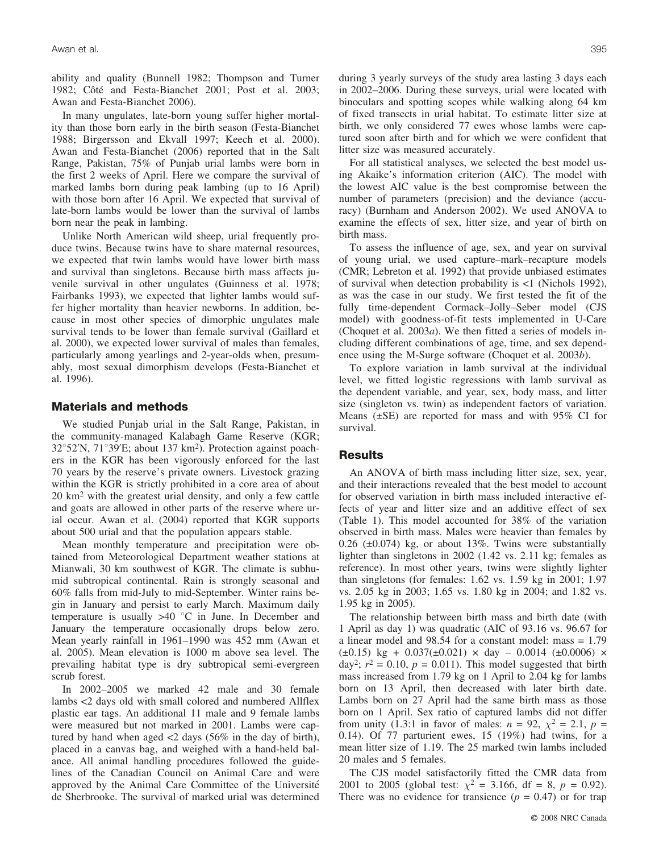ability and quality (Bunnell 1982; Thompson and Turner 1982; Côté and Festa-Bianchet 2001; Post et al. 2003; Awan and Festa-Bianchet 2006).

In many ungulates, late-born young suffer higher mortality than those born early in the birth season (Festa-Bianchet 1988; Birgersson and Ekvall 1997; Keech et al. 2000). Awan and Festa-Bianchet (2006) reported that in the Salt Range, Pakistan, 75% of Punjab urial lambs were born in the first 2 weeks of April. Here we compare the survival of marked lambs born during peak lambing (up to 16 April) with those born after 16 April. We expected that survival of late-born lambs would be lower than the survival of lambs born near the peak in lambing.

Unlike North American wild sheep, urial frequently produce twins. Because twins have to share maternal resources, we expected that twin lambs would have lower birth mass and survival than singletons. Because birth mass affects juvenile survival in other ungulates (Guinness et al. 1978; Fairbanks 1993), we expected that lighter lambs would suffer higher mortality than heavier newborns. In addition, because in most other species of dimorphic ungulates male survival tends to be lower than female survival (Gaillard et al. 2000), we expected lower survival of males than females, particularly among yearlings and 2-year-olds when, presumably, most sexual dimorphism develops (Festa-Bianchet et al. 1996).

### **Materials and methods**

We studied Punjab urial in the Salt Range, Pakistan, in the community-managed Kalabagh Game Reserve (KGR;  $32^{\circ}52'$ N,  $71^{\circ}39'E$ ; about 137 km<sup>2</sup>). Protection against poachers in the KGR has been vigorously enforced for the last 70 years by the reserve's private owners. Livestock grazing within the KGR is strictly prohibited in a core area of about 20 km2 with the greatest urial density, and only a few cattle and goats are allowed in other parts of the reserve where urial occur. Awan et al. (2004) reported that KGR supports about 500 urial and that the population appears stable.

Mean monthly temperature and precipitation were obtained from Meteorological Department weather stations at Mianwali, 30 km southwest of KGR. The climate is subhumid subtropical continental. Rain is strongly seasonal and 60% falls from mid-July to mid-September. Winter rains begin in January and persist to early March. Maximum daily temperature is usually  $>40$  °C in June. In December and January the temperature occasionally drops below zero. Mean yearly rainfall in 1961–1990 was 452 mm (Awan et al. 2005). Mean elevation is 1000 m above sea level. The prevailing habitat type is dry subtropical semi-evergreen scrub forest.

In 2002–2005 we marked 42 male and 30 female lambs <2 days old with small colored and numbered Allflex plastic ear tags. An additional 11 male and 9 female lambs were measured but not marked in 2001. Lambs were captured by hand when aged <2 days (56% in the day of birth), placed in a canvas bag, and weighed with a hand-held balance. All animal handling procedures followed the guidelines of the Canadian Council on Animal Care and were approved by the Animal Care Committee of the Université de Sherbrooke. The survival of marked urial was determined during 3 yearly surveys of the study area lasting 3 days each in 2002–2006. During these surveys, urial were located with binoculars and spotting scopes while walking along 64 km of fixed transects in urial habitat. To estimate litter size at birth, we only considered 77 ewes whose lambs were captured soon after birth and for which we were confident that litter size was measured accurately.

For all statistical analyses, we selected the best model using Akaike's information criterion (AIC). The model with the lowest AIC value is the best compromise between the number of parameters (precision) and the deviance (accuracy) (Burnham and Anderson 2002). We used ANOVA to examine the effects of sex, litter size, and year of birth on birth mass.

To assess the influence of age, sex, and year on survival of young urial, we used capture–mark–recapture models (CMR; Lebreton et al. 1992) that provide unbiased estimates of survival when detection probability is <1 (Nichols 1992), as was the case in our study. We first tested the fit of the fully time-dependent Cormack–Jolly–Seber model (CJS model) with goodness-of-fit tests implemented in U-Care (Choquet et al. 2003*a*). We then fitted a series of models including different combinations of age, time, and sex dependence using the M-Surge software (Choquet et al. 2003*b*).

To explore variation in lamb survival at the individual level, we fitted logistic regressions with lamb survival as the dependent variable, and year, sex, body mass, and litter size (singleton vs. twin) as independent factors of variation. Means (±SE) are reported for mass and with 95% CI for survival.

#### **Results**

An ANOVA of birth mass including litter size, sex, year, and their interactions revealed that the best model to account for observed variation in birth mass included interactive effects of year and litter size and an additive effect of sex (Table 1). This model accounted for 38% of the variation observed in birth mass. Males were heavier than females by 0.26  $(\pm 0.074)$  kg, or about 13%. Twins were substantially lighter than singletons in 2002 (1.42 vs. 2.11 kg; females as reference). In most other years, twins were slightly lighter than singletons (for females: 1.62 vs. 1.59 kg in 2001; 1.97 vs. 2.05 kg in 2003; 1.65 vs. 1.80 kg in 2004; and 1.82 vs. 1.95 kg in 2005).

The relationship between birth mass and birth date (with 1 April as day 1) was quadratic (AIC of 93.16 vs. 96.67 for a linear model and 98.54 for a constant model: mass = 1.79  $(\pm 0.15)$  kg + 0.037( $\pm 0.021$ )  $\times$  day - 0.0014 ( $\pm 0.0006$ )  $\times$ day<sup>2</sup>;  $r^2 = 0.10$ ,  $p = 0.011$ ). This model suggested that birth mass increased from 1.79 kg on 1 April to 2.04 kg for lambs born on 13 April, then decreased with later birth date. Lambs born on 27 April had the same birth mass as those born on 1 April. Sex ratio of captured lambs did not differ from unity (1.3:1 in favor of males:  $n = 92$ ,  $\chi^2 = 2.1$ ,  $p =$ 0.14). Of 77 parturient ewes, 15 (19%) had twins, for a mean litter size of 1.19. The 25 marked twin lambs included 20 males and 5 females.

The CJS model satisfactorily fitted the CMR data from 2001 to 2005 (global test:  $\chi^2 = 3.166$ , df = 8,  $p = 0.92$ ). There was no evidence for transience  $(p = 0.47)$  or for trap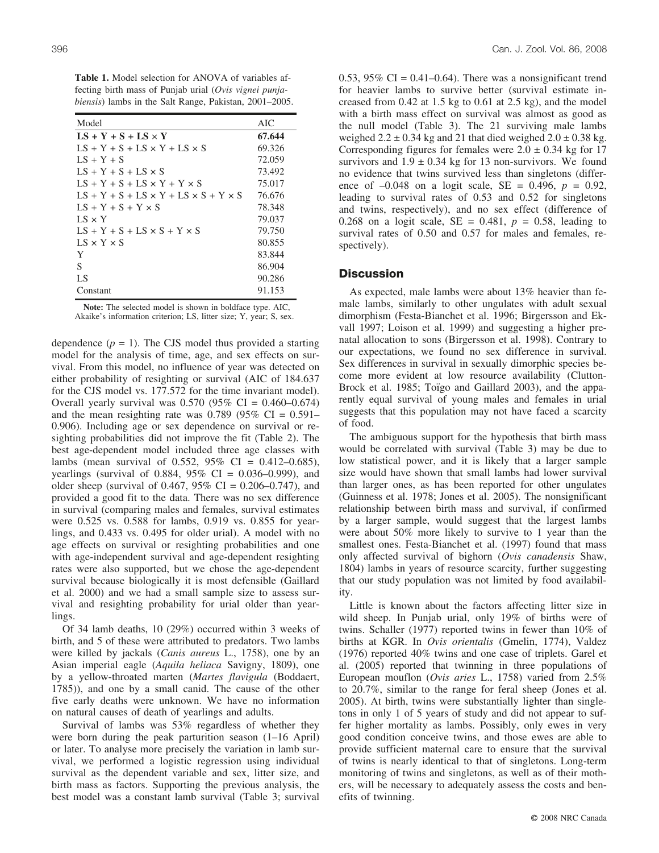**Table 1.** Model selection for ANOVA of variables affecting birth mass of Punjab urial (*Ovis vignei punjabiensis*) lambs in the Salt Range, Pakistan, 2001–2005.

| Model                                                 | AIC    |
|-------------------------------------------------------|--------|
| $LS + Y + S + LS \times Y$                            | 67.644 |
| $LS + Y + S + LS \times Y + LS \times S$              | 69.326 |
| $LS + Y + S$                                          | 72.059 |
| $IS + Y + S + IS \times S$                            | 73.492 |
| $LS + Y + S + LS \times Y + Y \times S$               | 75.017 |
| $LS + Y + S + LS \times Y + LS \times S + Y \times S$ | 76.676 |
| $IS + Y + S + Y \times S$                             | 78.348 |
| $LS \times Y$                                         | 79.037 |
| $LS + Y + S + LS \times S + Y \times S$               | 79.750 |
| $LS \times Y \times S$                                | 80.855 |
| Y                                                     | 83.844 |
| S                                                     | 86.904 |
| LS                                                    | 90.286 |
| Constant                                              | 91.153 |

**Note:** The selected model is shown in boldface type. AIC, Akaike's information criterion; LS, litter size; Y, year; S, sex.

dependence  $(p = 1)$ . The CJS model thus provided a starting model for the analysis of time, age, and sex effects on survival. From this model, no influence of year was detected on either probability of resighting or survival (AIC of 184.637 for the CJS model vs. 177.572 for the time invariant model). Overall yearly survival was  $0.570$  (95% CI = 0.460–0.674) and the mean resighting rate was  $0.789$  (95% CI =  $0.591-$ 0.906). Including age or sex dependence on survival or resighting probabilities did not improve the fit (Table 2). The best age-dependent model included three age classes with lambs (mean survival of 0.552, 95% CI = 0.412–0.685), yearlings (survival of 0.884,  $95\%$  CI = 0.036–0.999), and older sheep (survival of 0.467,  $95\%$  CI = 0.206–0.747), and provided a good fit to the data. There was no sex difference in survival (comparing males and females, survival estimates were 0.525 vs. 0.588 for lambs, 0.919 vs. 0.855 for yearlings, and 0.433 vs. 0.495 for older urial). A model with no age effects on survival or resighting probabilities and one with age-independent survival and age-dependent resighting rates were also supported, but we chose the age-dependent survival because biologically it is most defensible (Gaillard et al. 2000) and we had a small sample size to assess survival and resighting probability for urial older than yearlings.

Of 34 lamb deaths, 10 (29%) occurred within 3 weeks of birth, and 5 of these were attributed to predators. Two lambs were killed by jackals (*Canis aureus* L., 1758), one by an Asian imperial eagle (*Aquila heliaca* Savigny, 1809), one by a yellow-throated marten (*Martes flavigula* (Boddaert, 1785)), and one by a small canid. The cause of the other five early deaths were unknown. We have no information on natural causes of death of yearlings and adults.

Survival of lambs was 53% regardless of whether they were born during the peak parturition season (1–16 April) or later. To analyse more precisely the variation in lamb survival, we performed a logistic regression using individual survival as the dependent variable and sex, litter size, and birth mass as factors. Supporting the previous analysis, the best model was a constant lamb survival (Table 3; survival 0.53, 95% CI =  $0.41-0.64$ ). There was a nonsignificant trend for heavier lambs to survive better (survival estimate increased from 0.42 at 1.5 kg to 0.61 at 2.5 kg), and the model with a birth mass effect on survival was almost as good as the null model (Table 3). The 21 surviving male lambs weighed  $2.2 \pm 0.34$  kg and 21 that died weighed  $2.0 \pm 0.38$  kg. Corresponding figures for females were  $2.0 \pm 0.34$  kg for 17 survivors and  $1.9 \pm 0.34$  kg for 13 non-survivors. We found no evidence that twins survived less than singletons (difference of  $-0.048$  on a logit scale, SE = 0.496,  $p = 0.92$ , leading to survival rates of 0.53 and 0.52 for singletons and twins, respectively), and no sex effect (difference of 0.268 on a logit scale,  $SE = 0.481$ ,  $p = 0.58$ , leading to survival rates of 0.50 and 0.57 for males and females, respectively).

#### **Discussion**

As expected, male lambs were about 13% heavier than female lambs, similarly to other ungulates with adult sexual dimorphism (Festa-Bianchet et al. 1996; Birgersson and Ekvall 1997; Loison et al. 1999) and suggesting a higher prenatal allocation to sons (Birgersson et al. 1998). Contrary to our expectations, we found no sex difference in survival. Sex differences in survival in sexually dimorphic species become more evident at low resource availability (Clutton-Brock et al. 1985; Toïgo and Gaillard 2003), and the apparently equal survival of young males and females in urial suggests that this population may not have faced a scarcity of food.

The ambiguous support for the hypothesis that birth mass would be correlated with survival (Table 3) may be due to low statistical power, and it is likely that a larger sample size would have shown that small lambs had lower survival than larger ones, as has been reported for other ungulates (Guinness et al. 1978; Jones et al. 2005). The nonsignificant relationship between birth mass and survival, if confirmed by a larger sample, would suggest that the largest lambs were about 50% more likely to survive to 1 year than the smallest ones. Festa-Bianchet et al. (1997) found that mass only affected survival of bighorn (*Ovis canadensis* Shaw, 1804) lambs in years of resource scarcity, further suggesting that our study population was not limited by food availability.

Little is known about the factors affecting litter size in wild sheep. In Punjab urial, only 19% of births were of twins. Schaller (1977) reported twins in fewer than 10% of births at KGR. In *Ovis orientalis* (Gmelin, 1774), Valdez (1976) reported 40% twins and one case of triplets. Garel et al. (2005) reported that twinning in three populations of European mouflon (*Ovis aries* L., 1758) varied from 2.5% to 20.7%, similar to the range for feral sheep (Jones et al. 2005). At birth, twins were substantially lighter than singletons in only 1 of 5 years of study and did not appear to suffer higher mortality as lambs. Possibly, only ewes in very good condition conceive twins, and those ewes are able to provide sufficient maternal care to ensure that the survival of twins is nearly identical to that of singletons. Long-term monitoring of twins and singletons, as well as of their mothers, will be necessary to adequately assess the costs and benefits of twinning.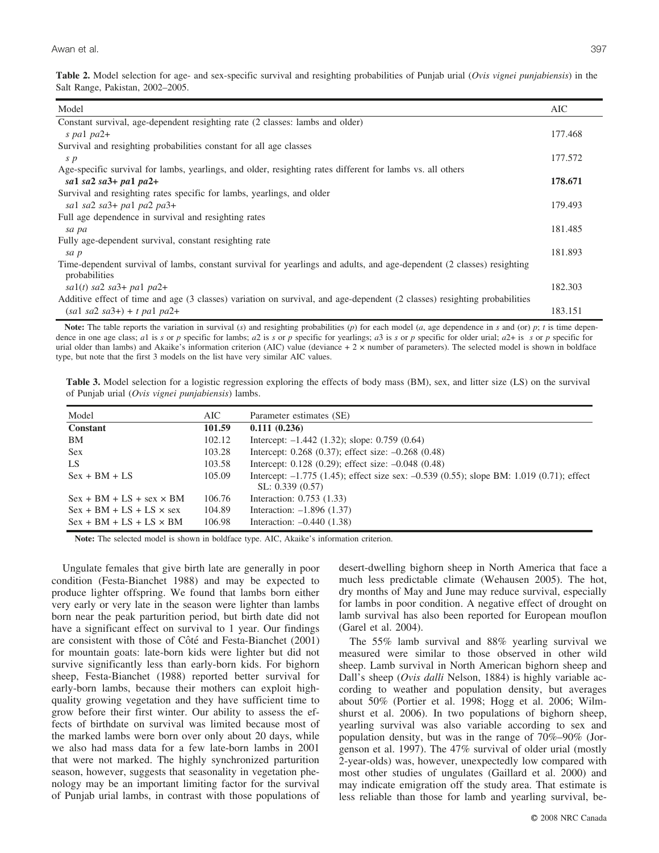**Table 2.** Model selection for age- and sex-specific survival and resighting probabilities of Punjab urial (*Ovis vignei punjabiensis*) in the Salt Range, Pakistan, 2002–2005.

| Model                                                                                                                                   | AIC     |
|-----------------------------------------------------------------------------------------------------------------------------------------|---------|
| Constant survival, age-dependent resighting rate (2 classes: lambs and older)                                                           |         |
| s pal $pa2+$                                                                                                                            | 177.468 |
| Survival and resighting probabilities constant for all age classes                                                                      |         |
| $\boldsymbol{s}$ $\boldsymbol{p}$                                                                                                       | 177.572 |
| Age-specific survival for lambs, yearlings, and older, resighting rates different for lambs vs. all others                              |         |
| sal sa2 sa3+ pa1 pa2+                                                                                                                   | 178.671 |
| Survival and resighting rates specific for lambs, yearlings, and older                                                                  |         |
| sal sa $2$ sa $3+$ pal pa $2$ pa $3+$                                                                                                   | 179.493 |
| Full age dependence in survival and resighting rates                                                                                    |         |
| sa pa                                                                                                                                   | 181.485 |
| Fully age-dependent survival, constant resighting rate                                                                                  |         |
| sa p                                                                                                                                    | 181.893 |
| Time-dependent survival of lambs, constant survival for yearlings and adults, and age-dependent (2 classes) resighting<br>probabilities |         |
| $sa1(t)$ sa2 sa3+ pa1 pa2+                                                                                                              | 182.303 |
| Additive effect of time and age (3 classes) variation on survival, and age-dependent (2 classes) resighting probabilities               |         |
| $(sa1 \ sa2 \ sa3+) + t \ pa1 \ pa2+$                                                                                                   | 183.151 |

**Note:** The table reports the variation in survival (*s*) and resighting probabilities (*p*) for each model (*a*, age dependence in *s* and (or) *p*; *t* is time dependence in one age class; al is s or p specific for lambs; a2 is s or p specific for yearlings; a3 is s or p specific for older urial;  $a2 +$  is s or p specific for urial older than lambs) and Akaike's information criterion (AIC) value (deviance + 2 x number of parameters). The selected model is shown in boldface type, but note that the first 3 models on the list have very similar AIC values.

**Table 3.** Model selection for a logistic regression exploring the effects of body mass (BM), sex, and litter size (LS) on the survival of Punjab urial (*Ovis vignei punjabiensis*) lambs.

| Model                           | AIC -  | Parameter estimates (SE)                                                                 |
|---------------------------------|--------|------------------------------------------------------------------------------------------|
| <b>Constant</b>                 | 101.59 | 0.111(0.236)                                                                             |
| BM                              | 102.12 | Intercept: $-1.442$ (1.32); slope: 0.759 (0.64)                                          |
| <b>Sex</b>                      | 103.28 | Intercept: 0.268 (0.37); effect size: -0.268 (0.48)                                      |
| <b>LS</b>                       | 103.58 | Intercept: $0.128$ (0.29); effect size: $-0.048$ (0.48)                                  |
| $Sex + BM + LS$                 | 105.09 | Intercept: -1.775 (1.45); effect size sex: -0.539 (0.55); slope BM: 1.019 (0.71); effect |
|                                 |        | SL: 0.339(0.57)                                                                          |
| $Sex + BM + LS + sex \times BM$ | 106.76 | Interaction: 0.753 (1.33)                                                                |
| $Sex + BM + LS + LS \times sex$ | 104.89 | Interaction: $-1.896$ (1.37)                                                             |
| $Sex + BM + LS + LS \times BM$  | 106.98 | Interaction: $-0.440$ (1.38)                                                             |

**Note:** The selected model is shown in boldface type. AIC, Akaike's information criterion.

Ungulate females that give birth late are generally in poor condition (Festa-Bianchet 1988) and may be expected to produce lighter offspring. We found that lambs born either very early or very late in the season were lighter than lambs born near the peak parturition period, but birth date did not have a significant effect on survival to 1 year. Our findings are consistent with those of Côté and Festa-Bianchet (2001) for mountain goats: late-born kids were lighter but did not survive significantly less than early-born kids. For bighorn sheep, Festa-Bianchet (1988) reported better survival for early-born lambs, because their mothers can exploit highquality growing vegetation and they have sufficient time to grow before their first winter. Our ability to assess the effects of birthdate on survival was limited because most of the marked lambs were born over only about 20 days, while we also had mass data for a few late-born lambs in 2001 that were not marked. The highly synchronized parturition season, however, suggests that seasonality in vegetation phenology may be an important limiting factor for the survival of Punjab urial lambs, in contrast with those populations of desert-dwelling bighorn sheep in North America that face a much less predictable climate (Wehausen 2005). The hot, dry months of May and June may reduce survival, especially for lambs in poor condition. A negative effect of drought on lamb survival has also been reported for European mouflon (Garel et al. 2004).

The 55% lamb survival and 88% yearling survival we measured were similar to those observed in other wild sheep. Lamb survival in North American bighorn sheep and Dall's sheep (*Ovis dalli* Nelson, 1884) is highly variable according to weather and population density, but averages about 50% (Portier et al. 1998; Hogg et al. 2006; Wilmshurst et al. 2006). In two populations of bighorn sheep, yearling survival was also variable according to sex and population density, but was in the range of 70%–90% (Jorgenson et al. 1997). The 47% survival of older urial (mostly 2-year-olds) was, however, unexpectedly low compared with most other studies of ungulates (Gaillard et al. 2000) and may indicate emigration off the study area. That estimate is less reliable than those for lamb and yearling survival, be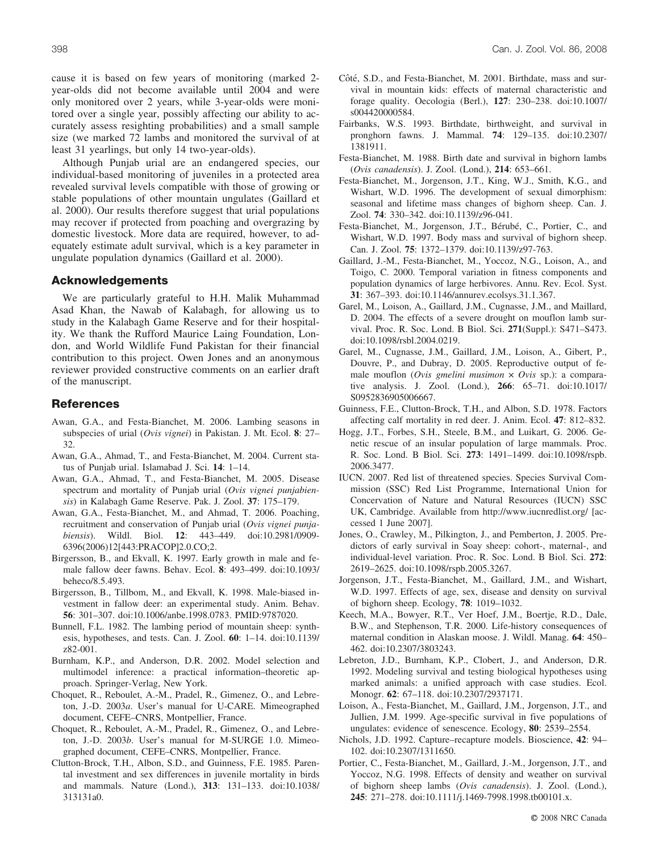cause it is based on few years of monitoring (marked 2 year-olds did not become available until 2004 and were only monitored over 2 years, while 3-year-olds were monitored over a single year, possibly affecting our ability to accurately assess resighting probabilities) and a small sample size (we marked 72 lambs and monitored the survival of at least 31 yearlings, but only 14 two-year-olds).

Although Punjab urial are an endangered species, our individual-based monitoring of juveniles in a protected area revealed survival levels compatible with those of growing or stable populations of other mountain ungulates (Gaillard et al. 2000). Our results therefore suggest that urial populations may recover if protected from poaching and overgrazing by domestic livestock. More data are required, however, to adequately estimate adult survival, which is a key parameter in ungulate population dynamics (Gaillard et al. 2000).

#### **Acknowledgements**

We are particularly grateful to H.H. Malik Muhammad Asad Khan, the Nawab of Kalabagh, for allowing us to study in the Kalabagh Game Reserve and for their hospitality. We thank the Rufford Maurice Laing Foundation, London, and World Wildlife Fund Pakistan for their financial contribution to this project. Owen Jones and an anonymous reviewer provided constructive comments on an earlier draft of the manuscript.

#### **References**

- Awan, G.A., and Festa-Bianchet, M. 2006. Lambing seasons in subspecies of urial (*Ovis vignei*) in Pakistan. J. Mt. Ecol. **8**: 27– 32.
- Awan, G.A., Ahmad, T., and Festa-Bianchet, M. 2004. Current status of Punjab urial. Islamabad J. Sci. **14**: 1–14.
- Awan, G.A., Ahmad, T., and Festa-Bianchet, M. 2005. Disease spectrum and mortality of Punjab urial (*Ovis vignei punjabiensis*) in Kalabagh Game Reserve. Pak. J. Zool. **37**: 175–179.
- Awan, G.A., Festa-Bianchet, M., and Ahmad, T. 2006. Poaching, recruitment and conservation of Punjab urial (*Ovis vignei punjabiensis*). Wildl. Biol. **12**: 443–449. doi:10.2981/0909- 6396(2006)12[443:PRACOP]2.0.CO;2.
- Birgersson, B., and Ekvall, K. 1997. Early growth in male and female fallow deer fawns. Behav. Ecol. **8**: 493–499. doi:10.1093/ beheco/8.5.493.
- Birgersson, B., Tillbom, M., and Ekvall, K. 1998. Male-biased investment in fallow deer: an experimental study. Anim. Behav. **56**: 301–307. doi:10.1006/anbe.1998.0783. PMID:9787020.
- Bunnell, F.L. 1982. The lambing period of mountain sheep: synthesis, hypotheses, and tests. Can. J. Zool. **60**: 1–14. doi:10.1139/ z82-001.
- Burnham, K.P., and Anderson, D.R. 2002. Model selection and multimodel inference: a practical information–theoretic approach. Springer-Verlag, New York.
- Choquet, R., Reboulet, A.-M., Pradel, R., Gimenez, O., and Lebreton, J.-D. 2003*a*. User's manual for U-CARE. Mimeographed document, CEFE–CNRS, Montpellier, France.
- Choquet, R., Reboulet, A.-M., Pradel, R., Gimenez, O., and Lebreton, J.-D. 2003*b*. User's manual for M-SURGE 1.0. Mimeographed document, CEFE–CNRS, Montpellier, France.
- Clutton-Brock, T.H., Albon, S.D., and Guinness, F.E. 1985. Parental investment and sex differences in juvenile mortality in birds and mammals. Nature (Lond.), **313**: 131–133. doi:10.1038/ 313131a0.
- Côté, S.D., and Festa-Bianchet, M. 2001. Birthdate, mass and survival in mountain kids: effects of maternal characteristic and forage quality. Oecologia (Berl.), **127**: 230–238. doi:10.1007/ s004420000584.
- Fairbanks, W.S. 1993. Birthdate, birthweight, and survival in pronghorn fawns. J. Mammal. **74**: 129–135. doi:10.2307/ 1381911.
- Festa-Bianchet, M. 1988. Birth date and survival in bighorn lambs (*Ovis canadensis*). J. Zool. (Lond.), **214**: 653–661.
- Festa-Bianchet, M., Jorgenson, J.T., King, W.J., Smith, K.G., and Wishart, W.D. 1996. The development of sexual dimorphism: seasonal and lifetime mass changes of bighorn sheep. Can. J. Zool. **74**: 330–342. doi:10.1139/z96-041.
- Festa-Bianchet, M., Jorgenson, J.T., Bérubé, C., Portier, C., and Wishart, W.D. 1997. Body mass and survival of bighorn sheep. Can. J. Zool. **75**: 1372–1379. doi:10.1139/z97-763.
- Gaillard, J.-M., Festa-Bianchet, M., Yoccoz, N.G., Loison, A., and Toigo, C. 2000. Temporal variation in fitness components and population dynamics of large herbivores. Annu. Rev. Ecol. Syst. **31**: 367–393. doi:10.1146/annurev.ecolsys.31.1.367.
- Garel, M., Loison, A., Gaillard, J.M., Cugnasse, J.M., and Maillard, D. 2004. The effects of a severe drought on mouflon lamb survival. Proc. R. Soc. Lond. B Biol. Sci. **271**(Suppl.): S471–S473. doi:10.1098/rsbl.2004.0219.
- Garel, M., Cugnasse, J.M., Gaillard, J.M., Loison, A., Gibert, P., Douvre, P., and Dubray, D. 2005. Reproductive output of female mouflon (Ovis gmelini musimon x Ovis sp.): a comparative analysis. J. Zool. (Lond.), **266**: 65–71. doi:10.1017/ S0952836905006667.
- Guinness, F.E., Clutton-Brock, T.H., and Albon, S.D. 1978. Factors affecting calf mortality in red deer. J. Anim. Ecol. **47**: 812–832.
- Hogg, J.T., Forbes, S.H., Steele, B.M., and Luikart, G. 2006. Genetic rescue of an insular population of large mammals. Proc. R. Soc. Lond. B Biol. Sci. **273**: 1491–1499. doi:10.1098/rspb. 2006.3477.
- IUCN. 2007. Red list of threatened species. Species Survival Commission (SSC) Red List Programme, International Union for Concervation of Nature and Natural Resources (IUCN) SSC UK, Cambridge. Available from http://www.iucnredlist.org/ [accessed 1 June 2007].
- Jones, O., Crawley, M., Pilkington, J., and Pemberton, J. 2005. Predictors of early survival in Soay sheep: cohort-, maternal-, and individual-level variation. Proc. R. Soc. Lond. B Biol. Sci. **272**: 2619–2625. doi:10.1098/rspb.2005.3267.
- Jorgenson, J.T., Festa-Bianchet, M., Gaillard, J.M., and Wishart, W.D. 1997. Effects of age, sex, disease and density on survival of bighorn sheep. Ecology, **78**: 1019–1032.
- Keech, M.A., Bowyer, R.T., Ver Hoef, J.M., Boertje, R.D., Dale, B.W., and Stephenson, T.R. 2000. Life-history consequences of maternal condition in Alaskan moose. J. Wildl. Manag. **64**: 450– 462. doi:10.2307/3803243.
- Lebreton, J.D., Burnham, K.P., Clobert, J., and Anderson, D.R. 1992. Modeling survival and testing biological hypotheses using marked animals: a unified approach with case studies. Ecol. Monogr. **62**: 67–118. doi:10.2307/2937171.
- Loison, A., Festa-Bianchet, M., Gaillard, J.M., Jorgenson, J.T., and Jullien, J.M. 1999. Age-specific survival in five populations of ungulates: evidence of senescence. Ecology, **80**: 2539–2554.
- Nichols, J.D. 1992. Capture–recapture models. Bioscience, **42**: 94– 102. doi:10.2307/1311650.
- Portier, C., Festa-Bianchet, M., Gaillard, J.-M., Jorgenson, J.T., and Yoccoz, N.G. 1998. Effects of density and weather on survival of bighorn sheep lambs (*Ovis canadensis*). J. Zool. (Lond.), **245**: 271–278. doi:10.1111/j.1469-7998.1998.tb00101.x.